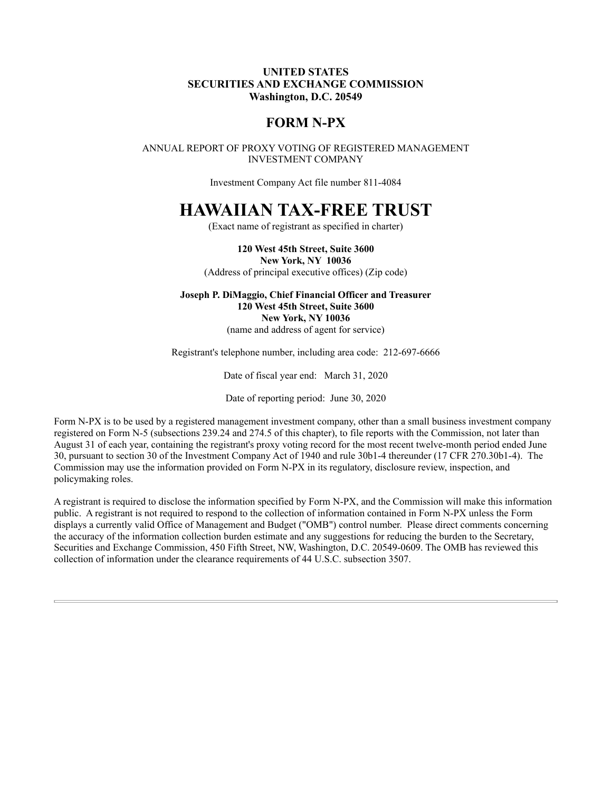## UNITED STATES SECURITIES AND EXCHANGE COMMISSION Washington, D.C. 20549

## FORM N-PX

ANNUAL REPORT OF PROXY VOTING OF REGISTERED MANAGEMENT INVESTMENT COMPANY

Investment Company Act file number 811-4084

## HAWAIIAN TAX-FREE TRUST

(Exact name of registrant as specified in charter)

120 West 45th Street, Suite 3600 New York, NY 10036 (Address of principal executive offices) (Zip code)

Joseph P. DiMaggio, Chief Financial Officer and Treasurer 120 West 45th Street, Suite 3600 New York, NY 10036 (name and address of agent for service)

Registrant's telephone number, including area code: 212-697-6666

Date of fiscal year end: March 31, 2020

Date of reporting period: June 30, 2020

Form N-PX is to be used by a registered management investment company, other than a small business investment company registered on Form N-5 (subsections 239.24 and 274.5 of this chapter), to file reports with the Commission, not later than August 31 of each year, containing the registrant's proxy voting record for the most recent twelve-month period ended June 30, pursuant to section 30 of the Investment Company Act of 1940 and rule 30b1-4 thereunder (17 CFR 270.30b1-4). The Commission may use the information provided on Form N-PX in its regulatory, disclosure review, inspection, and policymaking roles.

A registrant is required to disclose the information specified by Form N-PX, and the Commission will make this information public. A registrant is not required to respond to the collection of information contained in Form N-PX unless the Form displays a currently valid Office of Management and Budget ("OMB") control number. Please direct comments concerning the accuracy of the information collection burden estimate and any suggestions for reducing the burden to the Secretary, Securities and Exchange Commission, 450 Fifth Street, NW, Washington, D.C. 20549-0609. The OMB has reviewed this collection of information under the clearance requirements of 44 U.S.C. subsection 3507.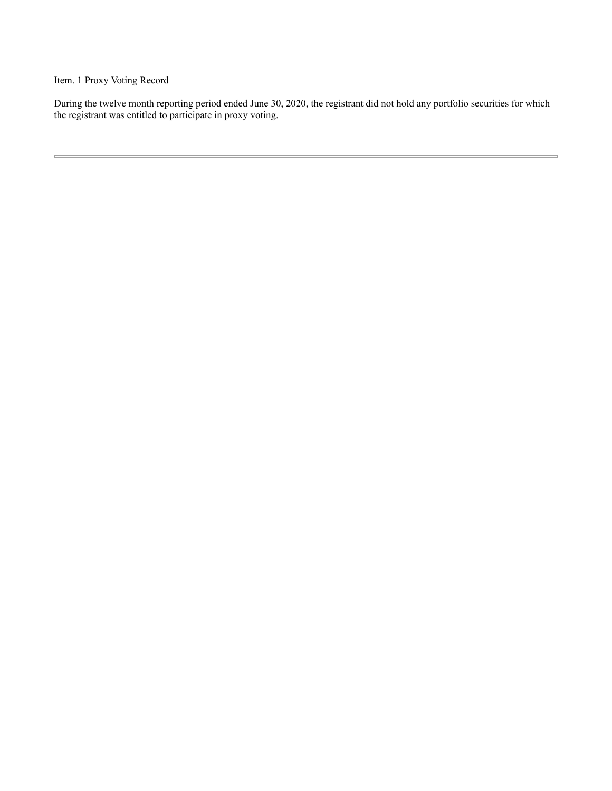Item. 1 Proxy Voting Record

During the twelve month reporting period ended June 30, 2020, the registrant did not hold any portfolio securities for which the registrant was entitled to participate in proxy voting.